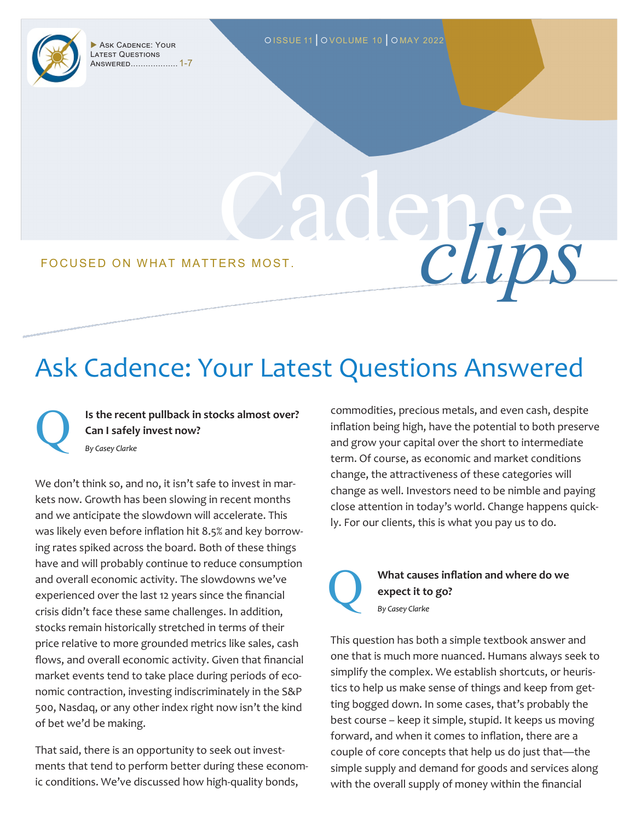

Latest Questions Answered................... 1-7

Cadence FOCUSED ON WHAT MATTERS MOST.

#### Ask Cadence: Your Latest Questions Answered

**Is the recent pullback in stocks almost over? Can I safely invest now?** Q *By Casey Clarke*

We don't think so, and no, it isn't safe to invest in markets now. Growth has been slowing in recent months and we anticipate the slowdown will accelerate. This was likely even before inflation hit 8.5% and key borrowing rates spiked across the board. Both of these things have and will probably continue to reduce consumption and overall economic activity. The slowdowns we've experienced over the last 12 years since the financial crisis didn't face these same challenges. In addition, stocks remain historically stretched in terms of their price relative to more grounded metrics like sales, cash flows, and overall economic activity. Given that financial market events tend to take place during periods of economic contraction, investing indiscriminately in the S&P 500, Nasdaq, or any other index right now isn't the kind of bet we'd be making.

That said, there is an opportunity to seek out investments that tend to perform better during these economic conditions. We've discussed how high-quality bonds,

commodities, precious metals, and even cash, despite inflation being high, have the potential to both preserve and grow your capital over the short to intermediate term. Of course, as economic and market conditions change, the attractiveness of these categories will change as well. Investors need to be nimble and paying close attention in today's world. Change happens quickly. For our clients, this is what you pay us to do.



**What causes inflation and where do we expect it to go?** *By Casey Clarke*

This question has both a simple textbook answer and one that is much more nuanced. Humans always seek to simplify the complex. We establish shortcuts, or heuristics to help us make sense of things and keep from getting bogged down. In some cases, that's probably the best course – keep it simple, stupid. It keeps us moving forward, and when it comes to inflation, there are a couple of core concepts that help us do just that—the simple supply and demand for goods and services along with the overall supply of money within the financial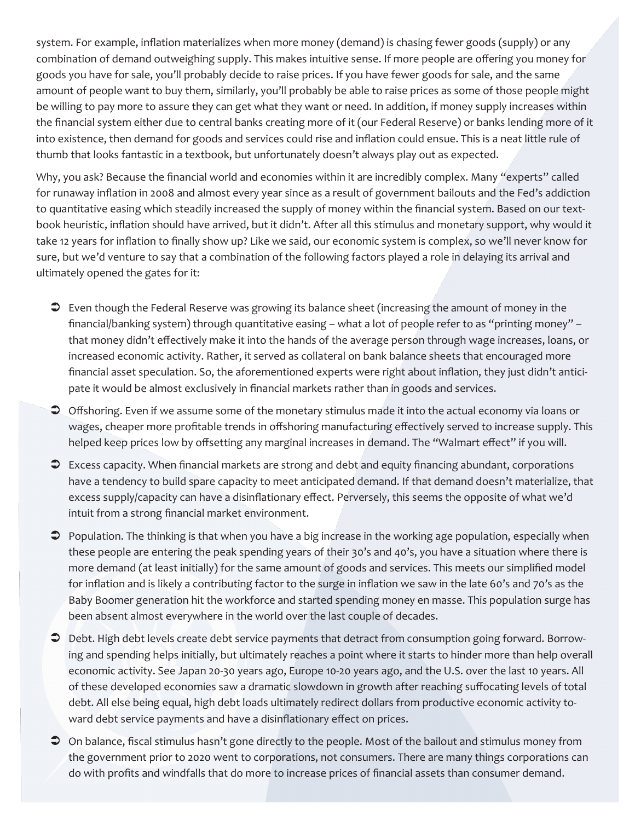system. For example, inflation materializes when more money (demand) is chasing fewer goods (supply) or any combination of demand outweighing supply. This makes intuitive sense. If more people are offering you money for goods you have for sale, you'll probably decide to raise prices. If you have fewer goods for sale, and the same amount of people want to buy them, similarly, you'll probably be able to raise prices as some of those people might be willing to pay more to assure they can get what they want or need. In addition, if money supply increases within the financial system either due to central banks creating more of it (our Federal Reserve) or banks lending more of it into existence, then demand for goods and services could rise and inflation could ensue. This is a neat little rule of thumb that looks fantastic in a textbook, but unfortunately doesn't always play out as expected.

Why, you ask? Because the financial world and economies within it are incredibly complex. Many "experts" called for runaway inflation in 2008 and almost every year since as a result of government bailouts and the Fed's addiction to quantitative easing which steadily increased the supply of money within the financial system. Based on our textbook heuristic, inflation should have arrived, but it didn't. After all this stimulus and monetary support, why would it take 12 years for inflation to finally show up? Like we said, our economic system is complex, so we'll never know for sure, but we'd venture to say that a combination of the following factors played a role in delaying its arrival and ultimately opened the gates for it:

- Even though the Federal Reserve was growing its balance sheet (increasing the amount of money in the financial/banking system) through quantitative easing – what a lot of people refer to as "printing money" – that money didn't effectively make it into the hands of the average person through wage increases, loans, or increased economic activity. Rather, it served as collateral on bank balance sheets that encouraged more financial asset speculation. So, the aforementioned experts were right about inflation, they just didn't anticipate it would be almost exclusively in financial markets rather than in goods and services.
- Offshoring. Even if we assume some of the monetary stimulus made it into the actual economy via loans or wages, cheaper more profitable trends in offshoring manufacturing effectively served to increase supply. This helped keep prices low by offsetting any marginal increases in demand. The "Walmart effect" if you will.
- Excess capacity. When financial markets are strong and debt and equity financing abundant, corporations have a tendency to build spare capacity to meet anticipated demand. If that demand doesn't materialize, that excess supply/capacity can have a disinflationary effect. Perversely, this seems the opposite of what we'd intuit from a strong financial market environment.
- Population. The thinking is that when you have a big increase in the working age population, especially when these people are entering the peak spending years of their 30's and 40's, you have a situation where there is more demand (at least initially) for the same amount of goods and services. This meets our simplified model for inflation and is likely a contributing factor to the surge in inflation we saw in the late 60's and 70's as the Baby Boomer generation hit the workforce and started spending money en masse. This population surge has been absent almost everywhere in the world over the last couple of decades.
- Debt. High debt levels create debt service payments that detract from consumption going forward. Borrowing and spending helps initially, but ultimately reaches a point where it starts to hinder more than help overall economic activity. See Japan 20-30 years ago, Europe 10-20 years ago, and the U.S. over the last 10 years. All of these developed economies saw a dramatic slowdown in growth after reaching suffocating levels of total debt. All else being equal, high debt loads ultimately redirect dollars from productive economic activity toward debt service payments and have a disinflationary effect on prices.
- On balance, fiscal stimulus hasn't gone directly to the people. Most of the bailout and stimulus money from the government prior to 2020 went to corporations, not consumers. There are many things corporations can do with profits and windfalls that do more to increase prices of financial assets than consumer demand.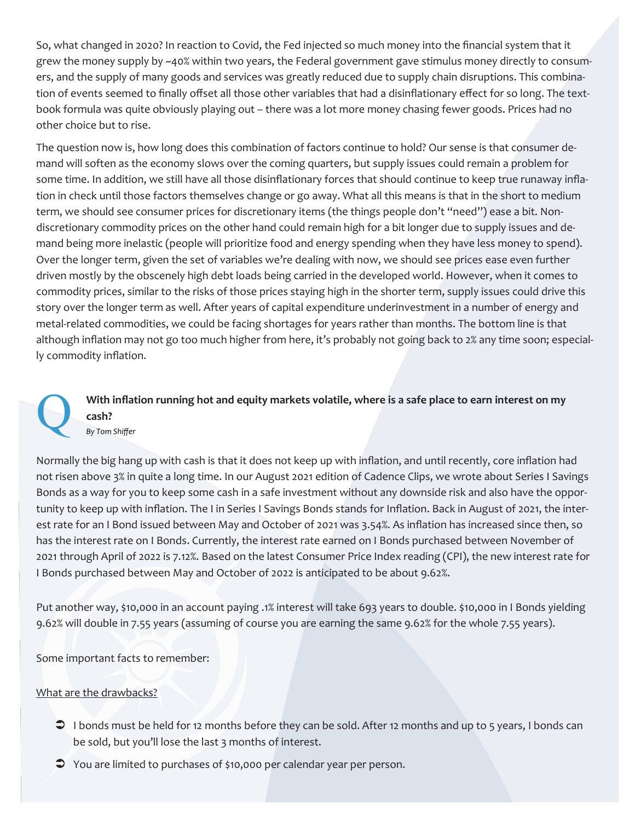So, what changed in 2020? In reaction to Covid, the Fed injected so much money into the financial system that it grew the money supply by ~40% within two years, the Federal government gave stimulus money directly to consumers, and the supply of many goods and services was greatly reduced due to supply chain disruptions. This combination of events seemed to finally offset all those other variables that had a disinflationary effect for so long. The textbook formula was quite obviously playing out – there was a lot more money chasing fewer goods. Prices had no other choice but to rise.

The question now is, how long does this combination of factors continue to hold? Our sense is that consumer demand will soften as the economy slows over the coming quarters, but supply issues could remain a problem for some time. In addition, we still have all those disinflationary forces that should continue to keep true runaway inflation in check until those factors themselves change or go away. What all this means is that in the short to medium term, we should see consumer prices for discretionary items (the things people don't "need") ease a bit. Nondiscretionary commodity prices on the other hand could remain high for a bit longer due to supply issues and demand being more inelastic (people will prioritize food and energy spending when they have less money to spend). Over the longer term, given the set of variables we're dealing with now, we should see prices ease even further driven mostly by the obscenely high debt loads being carried in the developed world. However, when it comes to commodity prices, similar to the risks of those prices staying high in the shorter term, supply issues could drive this story over the longer term as well. After years of capital expenditure underinvestment in a number of energy and metal-related commodities, we could be facing shortages for years rather than months. The bottom line is that although inflation may not go too much higher from here, it's probably not going back to 2% any time soon; especially commodity inflation.

With inflation running hot and equity markets volatile, where is a safe place to earn interest on my cash?<br> *By Tom Shiffer* **cash?**

Normally the big hang up with cash is that it does not keep up with inflation, and until recently, core inflation had not risen above 3% in quite a long time. In our August 2021 edition of Cadence Clips, we wrote about Series I Savings Bonds as a way for you to keep some cash in a safe investment without any downside risk and also have the opportunity to keep up with inflation. The I in Series I Savings Bonds stands for Inflation. Back in August of 2021, the interest rate for an I Bond issued between May and October of 2021 was 3.54%. As inflation has increased since then, so has the interest rate on I Bonds. Currently, the interest rate earned on I Bonds purchased between November of 2021 through April of 2022 is 7.12%. Based on the latest Consumer Price Index reading (CPI), the new interest rate for I Bonds purchased between May and October of 2022 is anticipated to be about 9.62%.

Put another way, \$10,000 in an account paying .1% interest will take 693 years to double. \$10,000 in I Bonds yielding 9.62% will double in 7.55 years (assuming of course you are earning the same 9.62% for the whole 7.55 years).

Some important facts to remember:

What are the drawbacks?

- $\supset$  I bonds must be held for 12 months before they can be sold. After 12 months and up to 5 years, I bonds can be sold, but you'll lose the last 3 months of interest.
- $\supset$  You are limited to purchases of \$10,000 per calendar year per person.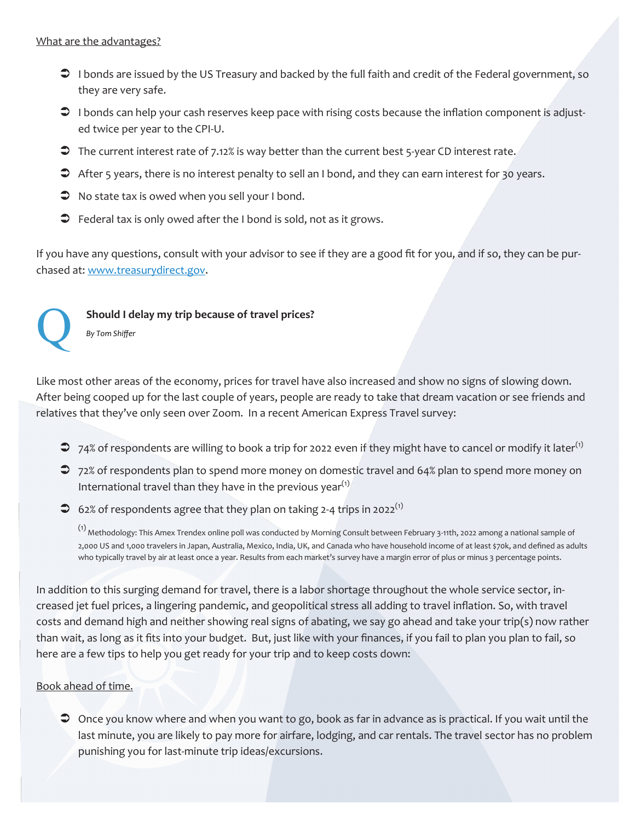- I bonds are issued by the US Treasury and backed by the full faith and credit of the Federal government, so they are very safe.
- $\supset$  I bonds can help your cash reserves keep pace with rising costs because the inflation component is adjusted twice per year to the CPI-U.
- The current interest rate of 7.12% is way better than the current best 5-year CD interest rate.
- After 5 years, there is no interest penalty to sell an I bond, and they can earn interest for 30 years.
- $\supset$  No state tax is owed when you sell your I bond.
- $\supset$  Federal tax is only owed after the I bond is sold, not as it grows.

If you have any questions, consult with your advisor to see if they are a good fit for you, and if so, they can be purchased at: [www.treasurydirect.gov.](http://www.treasurydirect.gov) 



# Should I delay my trip because of travel prices?<br> *By Tom Shiffer*

Like most other areas of the economy, prices for travel have also increased and show no signs of slowing down. After being cooped up for the last couple of years, people are ready to take that dream vacation or see friends and relatives that they've only seen over Zoom. In a recent American Express Travel survey:

- $\supset$  74% of respondents are willing to book a trip for 2022 even if they might have to cancel or modify it later<sup>(1)</sup>
- 72% of respondents plan to spend more money on domestic travel and 64% plan to spend more money on International travel than they have in the previous year<sup>(1)</sup>
- $\heartsuit$  62% of respondents agree that they plan on taking 2-4 trips in 2022<sup>(1)</sup>

(1) Methodology: This Amex Trendex online poll was conducted by Morning Consult between February 3-11th, 2022 among a national sample of 2,000 US and 1,000 travelers in Japan, Australia, Mexico, India, UK, and Canada who have household income of at least \$70k, and defined as adults who typically travel by air at least once a year. Results from each market's survey have a margin error of plus or minus 3 percentage points.

In addition to this surging demand for travel, there is a labor shortage throughout the whole service sector, increased jet fuel prices, a lingering pandemic, and geopolitical stress all adding to travel inflation. So, with travel costs and demand high and neither showing real signs of abating, we say go ahead and take your trip(s) now rather than wait, as long as it fits into your budget. But, just like with your finances, if you fail to plan you plan to fail, so here are a few tips to help you get ready for your trip and to keep costs down:

Book ahead of time.

 Once you know where and when you want to go, book as far in advance as is practical. If you wait until the last minute, you are likely to pay more for airfare, lodging, and car rentals. The travel sector has no problem punishing you for last-minute trip ideas/excursions.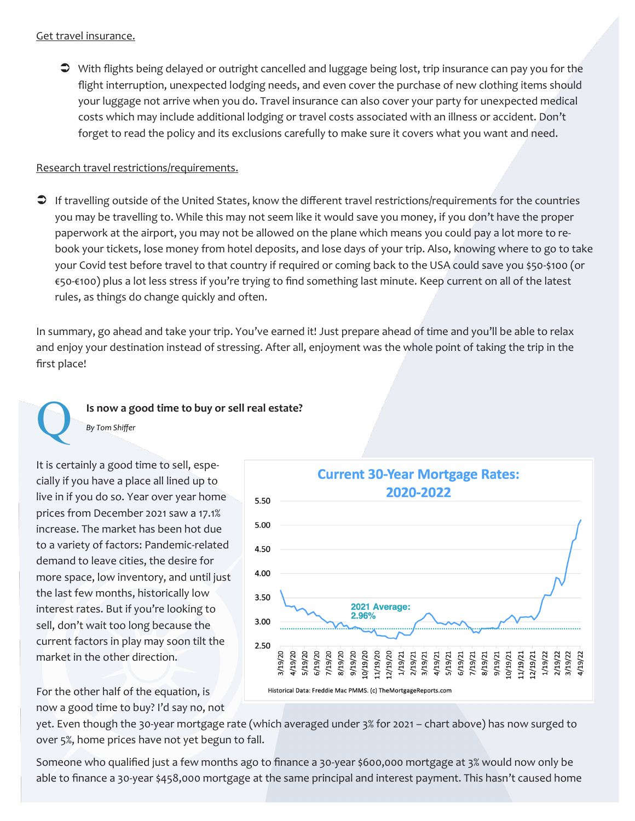With flights being delayed or outright cancelled and luggage being lost, trip insurance can pay you for the flight interruption, unexpected lodging needs, and even cover the purchase of new clothing items should your luggage not arrive when you do. Travel insurance can also cover your party for unexpected medical costs which may include additional lodging or travel costs associated with an illness or accident. Don't forget to read the policy and its exclusions carefully to make sure it covers what you want and need.

#### Research travel restrictions/requirements.

 If travelling outside of the United States, know the different travel restrictions/requirements for the countries you may be travelling to. While this may not seem like it would save you money, if you don't have the proper paperwork at the airport, you may not be allowed on the plane which means you could pay a lot more to rebook your tickets, lose money from hotel deposits, and lose days of your trip. Also, knowing where to go to take your Covid test before travel to that country if required or coming back to the USA could save you \$50-\$100 (or €50-€100) plus a lot less stress if you're trying to find something last minute. Keep current on all of the latest rules, as things do change quickly and often.

In summary, go ahead and take your trip. You've earned it! Just prepare ahead of time and you'll be able to relax and enjoy your destination instead of stressing. After all, enjoyment was the whole point of taking the trip in the first place!

# **Is now a good time to buy or sell real estate?**<br> *By Tom Shiffer*

It is certainly a good time to sell, especially if you have a place all lined up to live in if you do so. Year over year home prices from December 2021 saw a 17.1% increase. The market has been hot due to a variety of factors: Pandemic-related demand to leave cities, the desire for more space, low inventory, and until just the last few months, historically low interest rates. But if you're looking to sell, don't wait too long because the current factors in play may soon tilt the market in the other direction.



For the other half of the equation, is now a good time to buy? I'd say no, not

yet. Even though the 30-year mortgage rate (which averaged under 3% for 2021 – chart above) has now surged to over 5%, home prices have not yet begun to fall.

Someone who qualified just a few months ago to finance a 30-year \$600,000 mortgage at 3% would now only be able to finance a 30-year \$458,000 mortgage at the same principal and interest payment. This hasn't caused home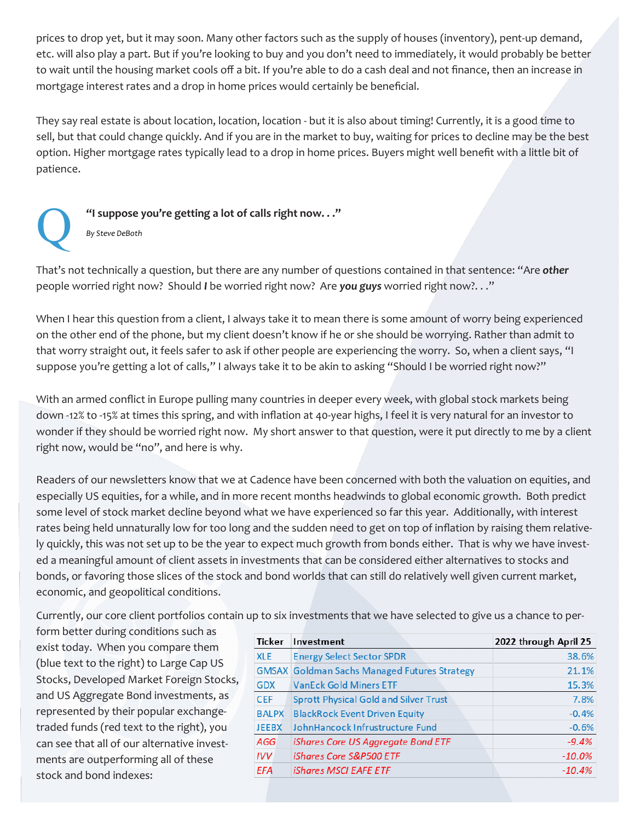prices to drop yet, but it may soon. Many other factors such as the supply of houses (inventory), pent-up demand, etc. will also play a part. But if you're looking to buy and you don't need to immediately, it would probably be better to wait until the housing market cools off a bit. If you're able to do a cash deal and not finance, then an increase in mortgage interest rates and a drop in home prices would certainly be beneficial.

They say real estate is about location, location, location - but it is also about timing! Currently, it is a good time to sell, but that could change quickly. And if you are in the market to buy, waiting for prices to decline may be the best option. Higher mortgage rates typically lead to a drop in home prices. Buyers might well benefit with a little bit of patience.



# **1 C I I Isuppose you're getting a lot of calls right now. . ."<br>** *By Steve DeBoth*

That's not technically a question, but there are any number of questions contained in that sentence: "Are *other* people worried right now? Should *I* be worried right now? Are *you guys* worried right now?. . ."

When I hear this question from a client, I always take it to mean there is some amount of worry being experienced on the other end of the phone, but my client doesn't know if he or she should be worrying. Rather than admit to that worry straight out, it feels safer to ask if other people are experiencing the worry. So, when a client says, "I suppose you're getting a lot of calls," I always take it to be akin to asking "Should I be worried right now?"

With an armed conflict in Europe pulling many countries in deeper every week, with global stock markets being down -12% to -15% at times this spring, and with inflation at 40-year highs, I feel it is very natural for an investor to wonder if they should be worried right now. My short answer to that question, were it put directly to me by a client right now, would be "no", and here is why.

Readers of our newsletters know that we at Cadence have been concerned with both the valuation on equities, and especially US equities, for a while, and in more recent months headwinds to global economic growth. Both predict some level of stock market decline beyond what we have experienced so far this year. Additionally, with interest rates being held unnaturally low for too long and the sudden need to get on top of inflation by raising them relatively quickly, this was not set up to be the year to expect much growth from bonds either. That is why we have invested a meaningful amount of client assets in investments that can be considered either alternatives to stocks and bonds, or favoring those slices of the stock and bond worlds that can still do relatively well given current market, economic, and geopolitical conditions.

Currently, our core client portfolios contain up to six investments that we have selected to give us a chance to per-

form better during conditions such as exist today. When you compare them (blue text to the right) to Large Cap US Stocks, Developed Market Foreign Stocks, and US Aggregate Bond investments, as represented by their popular exchangetraded funds (red text to the right), you can see that all of our alternative investments are outperforming all of these stock and bond indexes:

| Ticker       | Investment                                          | 2022 through April 25 |
|--------------|-----------------------------------------------------|-----------------------|
| <b>XLE</b>   | <b>Energy Select Sector SPDR</b>                    | 38.6%                 |
|              | <b>GMSAX</b> Goldman Sachs Managed Futures Strategy | 21.1%                 |
| <b>GDX</b>   | <b>VanEck Gold Miners ETF</b>                       | 15.3%                 |
| <b>CEF</b>   | <b>Sprott Physical Gold and Silver Trust</b>        | 7.8%                  |
| <b>BALPX</b> | <b>BlackRock Event Driven Equity</b>                | $-0.4%$               |
| <b>JEEBX</b> | JohnHancock Infrustructure Fund                     | $-0.6%$               |
| AGG          | iShares Core US Aggregate Bond ETF                  | $-9.4%$               |
| IVV.         | <i><b>iShares Core S&amp;P500 ETF</b></i>           | $-10.0%$              |
| <b>EFA</b>   | <i><b>iShares MSCI EAFE ETF</b></i>                 | $-10.4%$              |